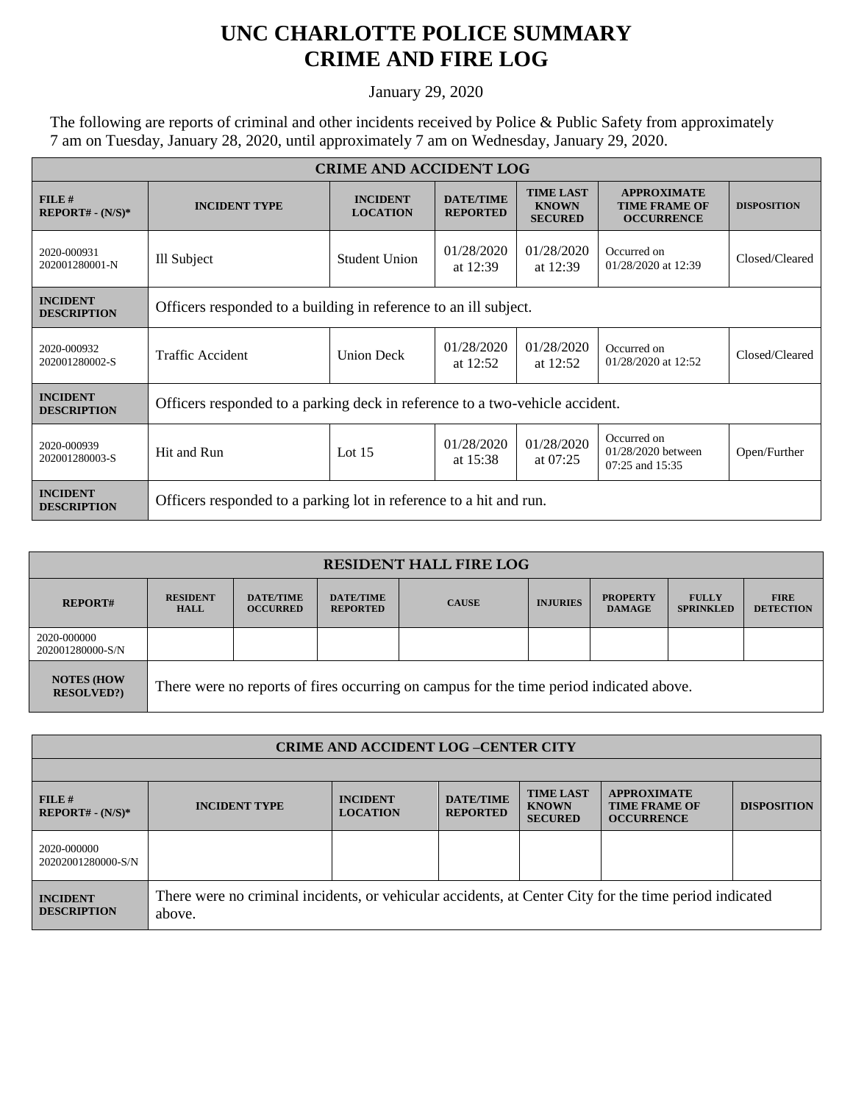## **UNC CHARLOTTE POLICE SUMMARY CRIME AND FIRE LOG**

January 29, 2020

The following are reports of criminal and other incidents received by Police & Public Safety from approximately 7 am on Tuesday, January 28, 2020, until approximately 7 am on Wednesday, January 29, 2020.

| <b>CRIME AND ACCIDENT LOG</b>         |                                                                              |                                    |                                     |                                                    |                                                                 |                    |  |  |
|---------------------------------------|------------------------------------------------------------------------------|------------------------------------|-------------------------------------|----------------------------------------------------|-----------------------------------------------------------------|--------------------|--|--|
| FILE#<br>$REPORT# - (N/S)*$           | <b>INCIDENT TYPE</b>                                                         | <b>INCIDENT</b><br><b>LOCATION</b> | <b>DATE/TIME</b><br><b>REPORTED</b> | <b>TIME LAST</b><br><b>KNOWN</b><br><b>SECURED</b> | <b>APPROXIMATE</b><br><b>TIME FRAME OF</b><br><b>OCCURRENCE</b> | <b>DISPOSITION</b> |  |  |
| 2020-000931<br>202001280001-N         | Ill Subject                                                                  | <b>Student Union</b>               | 01/28/2020<br>at $12:39$            | 01/28/2020<br>at 12:39                             | Occurred on<br>01/28/2020 at 12:39                              | Closed/Cleared     |  |  |
| <b>INCIDENT</b><br><b>DESCRIPTION</b> | Officers responded to a building in reference to an ill subject.             |                                    |                                     |                                                    |                                                                 |                    |  |  |
| 2020-000932<br>202001280002-S         | Traffic Accident                                                             | <b>Union Deck</b>                  | 01/28/2020<br>at $12:52$            | 01/28/2020<br>at $12:52$                           | Occurred on<br>01/28/2020 at 12:52                              | Closed/Cleared     |  |  |
| <b>INCIDENT</b><br><b>DESCRIPTION</b> | Officers responded to a parking deck in reference to a two-vehicle accident. |                                    |                                     |                                                    |                                                                 |                    |  |  |
| 2020-000939<br>202001280003-S         | Hit and Run                                                                  | Lot $15$                           | 01/28/2020<br>at $15:38$            | 01/28/2020<br>at $07:25$                           | Occurred on<br>$01/28/2020$ between<br>07:25 and 15:35          | Open/Further       |  |  |
| <b>INCIDENT</b><br><b>DESCRIPTION</b> | Officers responded to a parking lot in reference to a hit and run.           |                                    |                                     |                                                    |                                                                 |                    |  |  |

| <b>RESIDENT HALL FIRE LOG</b>         |                                                                                         |                                     |                                     |              |                 |                                  |                                  |                                 |  |
|---------------------------------------|-----------------------------------------------------------------------------------------|-------------------------------------|-------------------------------------|--------------|-----------------|----------------------------------|----------------------------------|---------------------------------|--|
| <b>REPORT#</b>                        | <b>RESIDENT</b><br><b>HALL</b>                                                          | <b>DATE/TIME</b><br><b>OCCURRED</b> | <b>DATE/TIME</b><br><b>REPORTED</b> | <b>CAUSE</b> | <b>INJURIES</b> | <b>PROPERTY</b><br><b>DAMAGE</b> | <b>FULLY</b><br><b>SPRINKLED</b> | <b>FIRE</b><br><b>DETECTION</b> |  |
| 2020-000000<br>202001280000-S/N       |                                                                                         |                                     |                                     |              |                 |                                  |                                  |                                 |  |
| <b>NOTES (HOW</b><br><b>RESOLVED?</b> | There were no reports of fires occurring on campus for the time period indicated above. |                                     |                                     |              |                 |                                  |                                  |                                 |  |

| <b>CRIME AND ACCIDENT LOG-CENTER CITY</b> |                                                                                                                  |                                    |                                     |                                                    |                                                                 |                    |  |
|-------------------------------------------|------------------------------------------------------------------------------------------------------------------|------------------------------------|-------------------------------------|----------------------------------------------------|-----------------------------------------------------------------|--------------------|--|
|                                           |                                                                                                                  |                                    |                                     |                                                    |                                                                 |                    |  |
| $FILE$ #<br>$REPORT# - (N/S)*$            | <b>INCIDENT TYPE</b>                                                                                             | <b>INCIDENT</b><br><b>LOCATION</b> | <b>DATE/TIME</b><br><b>REPORTED</b> | <b>TIME LAST</b><br><b>KNOWN</b><br><b>SECURED</b> | <b>APPROXIMATE</b><br><b>TIME FRAME OF</b><br><b>OCCURRENCE</b> | <b>DISPOSITION</b> |  |
| 2020-000000<br>20202001280000-S/N         |                                                                                                                  |                                    |                                     |                                                    |                                                                 |                    |  |
| <b>INCIDENT</b><br><b>DESCRIPTION</b>     | There were no criminal incidents, or vehicular accidents, at Center City for the time period indicated<br>above. |                                    |                                     |                                                    |                                                                 |                    |  |